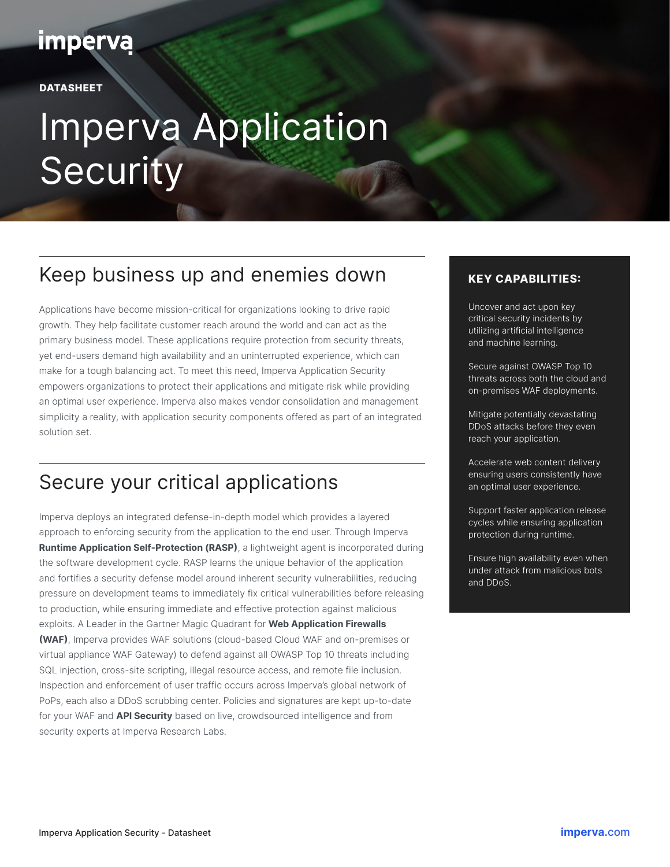## **imperva**

**DATASHEET** 

# Imperva Application **Security**

## Keep business up and enemies down

Applications have become mission-critical for organizations looking to drive rapid growth. They help facilitate customer reach around the world and can act as the primary business model. These applications require protection from security threats, yet end-users demand high availability and an uninterrupted experience, which can make for a tough balancing act. To meet this need, Imperva Application Security empowers organizations to protect their applications and mitigate risk while providing an optimal user experience. Imperva also makes vendor consolidation and management simplicity a reality, with application security components offered as part of an integrated solution set.

## Secure your critical applications

Imperva deploys an integrated defense-in-depth model which provides a layered approach to enforcing security from the application to the end user. Through Imperva Runtime Application Self-Protection (RASP), a lightweight agent is incorporated during the software development cycle. RASP learns the unique behavior of the application and fortifies a security defense model around inherent security vulnerabilities, reducing pressure on development teams to immediately fix critical vulnerabilities before releasing to production, while ensuring immediate and effective protection against malicious exploits. A Leader in the Gartner Magic Quadrant for Web Application Firewalls (WAF), Imperva provides WAF solutions (cloud-based Cloud WAF and on-premises or virtual appliance WAF Gateway) to defend against all OWASP Top 10 threats including SQL injection, cross-site scripting, illegal resource access, and remote file inclusion. Inspection and enforcement of user traffic occurs across Imperva's global network of PoPs, each also a DDoS scrubbing center. Policies and signatures are kept up-to-date for your WAF and API Security based on live, crowdsourced intelligence and from security experts at Imperva Research Labs.

#### KEY CAPABILITIES:

Uncover and act upon key critical security incidents by utilizing artificial intelligence and machine learning.

Secure against OWASP Top 10 threats across both the cloud and on-premises WAF deployments.

Mitigate potentially devastating DDoS attacks before they even reach your application.

Accelerate web content delivery ensuring users consistently have an optimal user experience.

Support faster application release cycles while ensuring application protection during runtime.

Ensure high availability even when under attack from malicious bots and DDoS.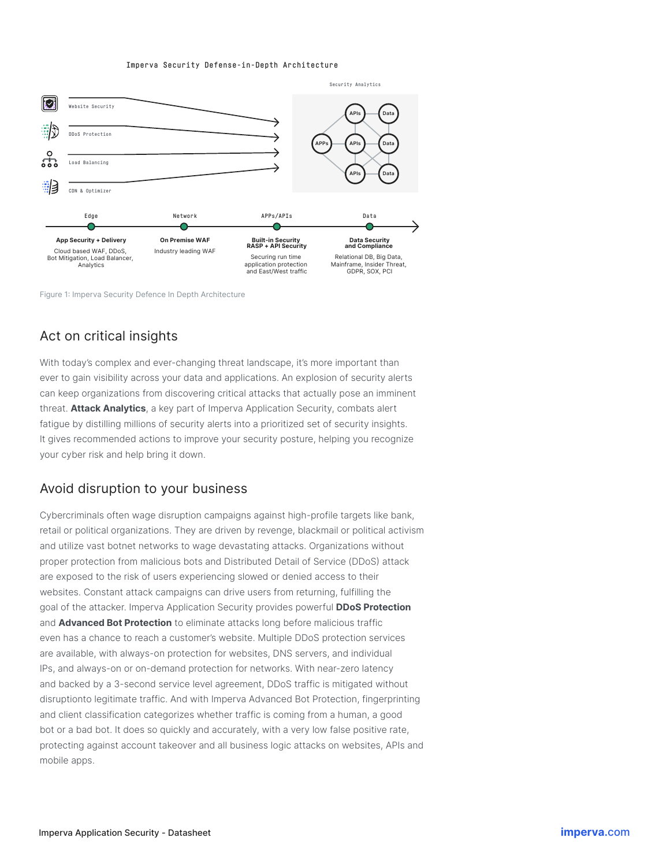#### Imperva Security Defense-in-Depth Architecture



Figure 1: Imperva Security Defence In Depth Architecture

#### Act on critical insights

With today's complex and ever-changing threat landscape, it's more important than ever to gain visibility across your data and applications. An explosion of security alerts can keep organizations from discovering critical attacks that actually pose an imminent threat. **Attack Analytics**, a key part of Imperva Application Security, combats alert fatigue by distilling millions of security alerts into a prioritized set of security insights. It gives recommended actions to improve your security posture, helping you recognize your cyber risk and help bring it down.

#### Avoid disruption to your business

Cybercriminals often wage disruption campaigns against high-profile targets like bank, retail or political organizations. They are driven by revenge, blackmail or political activism and utilize vast botnet networks to wage devastating attacks. Organizations without proper protection from malicious bots and Distributed Detail of Service (DDoS) attack are exposed to the risk of users experiencing slowed or denied access to their websites. Constant attack campaigns can drive users from returning, fulfilling the goal of the attacker. Imperva Application Security provides powerful **DDoS Protection** and **Advanced Bot Protection** to eliminate attacks long before malicious traffic even has a chance to reach a customer's website. Multiple DDoS protection services are available, with always-on protection for websites, DNS servers, and individual IPs, and always-on or on-demand protection for networks. With near-zero latency and backed by a 3-second service level agreement, DDoS traffic is mitigated without disruptionto legitimate traffic. And with Imperva Advanced Bot Protection, fingerprinting and client classification categorizes whether traffic is coming from a human, a good bot or a bad bot. It does so quickly and accurately, with a very low false positive rate, protecting against account takeover and all business logic attacks on websites, APIs and mobile apps.